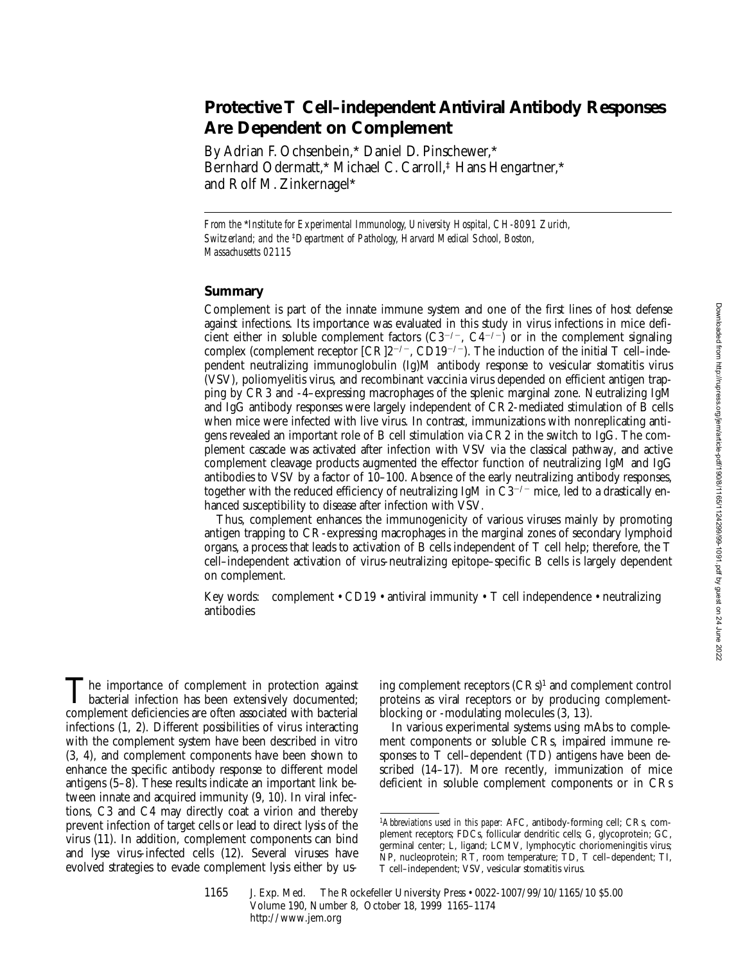# **Protective T Cell–independent Antiviral Antibody Responses Are Dependent on Complement**

By Adrian F. Ochsenbein,\* Daniel D. Pinschewer,\* Bernhard Odermatt,\* Michael C. Carroll,<sup>‡</sup> Hans Hengartner,\* and Rolf M. Zinkernagel\*

*From the* \**Institute for Experimental Immunology, University Hospital, CH-8091 Zurich, Switzerland; and the* ‡*Department of Pathology, Harvard Medical School, Boston, Massachusetts 02115*

## **Summary**

Complement is part of the innate immune system and one of the first lines of host defense against infections. Its importance was evaluated in this study in virus infections in mice deficient either in soluble complement factors  $(C3^{-/-}, C4^{-/-})$  or in the complement signaling complex (complement receptor  $[CR]2^{-/-}$ ,  $CD19^{-/-}$ ). The induction of the initial T cell–independent neutralizing immunoglobulin (Ig)M antibody response to vesicular stomatitis virus (VSV), poliomyelitis virus, and recombinant vaccinia virus depended on efficient antigen trapping by CR3 and -4–expressing macrophages of the splenic marginal zone. Neutralizing IgM and IgG antibody responses were largely independent of CR2-mediated stimulation of B cells when mice were infected with live virus. In contrast, immunizations with nonreplicating antigens revealed an important role of B cell stimulation via CR2 in the switch to IgG. The complement cascade was activated after infection with VSV via the classical pathway, and active complement cleavage products augmented the effector function of neutralizing IgM and IgG antibodies to VSV by a factor of 10–100. Absence of the early neutralizing antibody responses, together with the reduced efficiency of neutralizing IgM in  $C3^{-/-}$  mice, led to a drastically enhanced susceptibility to disease after infection with VSV.

Thus, complement enhances the immunogenicity of various viruses mainly by promoting antigen trapping to CR-expressing macrophages in the marginal zones of secondary lymphoid organs, a process that leads to activation of B cells independent of T cell help; therefore, the T cell–independent activation of virus-neutralizing epitope–specific B cells is largely dependent on complement.

Key words: complement • CD19 • antiviral immunity • T cell independence • neutralizing antibodies

The importance of complement in protection against<br>bacterial infection has been extensively documented;<br>complement deficiencies are eften are existed with bacterial complement deficiencies are often associated with bacterial infections (1, 2). Different possibilities of virus interacting with the complement system have been described in vitro (3, 4), and complement components have been shown to enhance the specific antibody response to different model antigens (5–8). These results indicate an important link between innate and acquired immunity (9, 10). In viral infections, C3 and C4 may directly coat a virion and thereby prevent infection of target cells or lead to direct lysis of the virus (11). In addition, complement components can bind and lyse virus-infected cells (12). Several viruses have evolved strategies to evade complement lysis either by us-

ing complement receptors (CRs)1 and complement control proteins as viral receptors or by producing complementblocking or -modulating molecules (3, 13).

In various experimental systems using mAbs to complement components or soluble CRs, impaired immune responses to T cell–dependent (TD) antigens have been described (14–17). More recently, immunization of mice deficient in soluble complement components or in CRs

<sup>1</sup>*Abbreviations used in this paper:* AFC, antibody-forming cell; CRs, complement receptors; FDCs, follicular dendritic cells; G, glycoprotein; GC, germinal center; L, ligand; LCMV, lymphocytic choriomeningitis virus; NP, nucleoprotein; RT, room temperature; TD, T cell–dependent; TI, T cell–independent; VSV, vesicular stomatitis virus.

<sup>1165</sup> J. Exp. Med. The Rockefeller University Press • 0022-1007/99/10/1165/10 \$5.00 Volume 190, Number 8, October 18, 1999 1165–1174 http://www.jem.org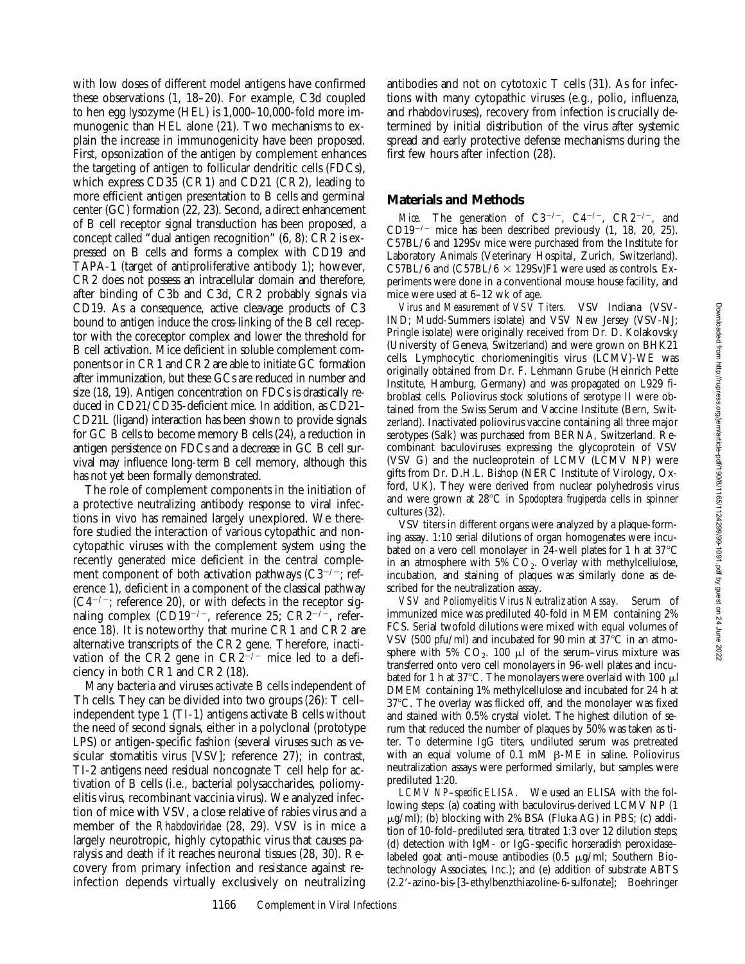with low doses of different model antigens have confirmed these observations (1, 18–20). For example, C3d coupled to hen egg lysozyme (HEL) is 1,000–10,000-fold more immunogenic than HEL alone (21). Two mechanisms to explain the increase in immunogenicity have been proposed. First, opsonization of the antigen by complement enhances the targeting of antigen to follicular dendritic cells (FDCs), which express CD35 (CR1) and CD21 (CR2), leading to more efficient antigen presentation to B cells and germinal center (GC) formation (22, 23). Second, a direct enhancement of B cell receptor signal transduction has been proposed, a concept called "dual antigen recognition" (6, 8): CR2 is expressed on B cells and forms a complex with CD19 and TAPA-1 (target of antiproliferative antibody 1); however, CR2 does not possess an intracellular domain and therefore, after binding of C3b and C3d, CR2 probably signals via CD19. As a consequence, active cleavage products of C3 bound to antigen induce the cross-linking of the B cell receptor with the coreceptor complex and lower the threshold for B cell activation. Mice deficient in soluble complement components or in CR1 and CR2 are able to initiate GC formation after immunization, but these GCs are reduced in number and size (18, 19). Antigen concentration on FDCs is drastically reduced in CD21/CD35-deficient mice. In addition, as CD21– CD21L (ligand) interaction has been shown to provide signals for GC B cells to become memory B cells (24), a reduction in antigen persistence on FDCs and a decrease in GC B cell survival may influence long-term B cell memory, although this has not yet been formally demonstrated.

The role of complement components in the initiation of a protective neutralizing antibody response to viral infections in vivo has remained largely unexplored. We therefore studied the interaction of various cytopathic and noncytopathic viruses with the complement system using the recently generated mice deficient in the central complement component of both activation pathways  $(C3^{-/-}$ ; reference 1), deficient in a component of the classical pathway  $(C4^{-/-}$ ; reference 20), or with defects in the receptor signaling complex (CD19<sup>-/-</sup>, reference 25; CR2<sup>-/-</sup>, reference 18). It is noteworthy that murine CR1 and CR2 are alternative transcripts of the CR2 gene. Therefore, inactivation of the CR2 gene in  $CR2^{-/-}$  mice led to a deficiency in both CR1 and CR2 (18).

Many bacteria and viruses activate B cells independent of Th cells. They can be divided into two groups (26): T cell– independent type 1 (TI-1) antigens activate B cells without the need of second signals, either in a polyclonal (prototype LPS) or antigen-specific fashion (several viruses such as vesicular stomatitis virus [VSV]; reference 27); in contrast, TI-2 antigens need residual noncognate T cell help for activation of B cells (i.e., bacterial polysaccharides, poliomyelitis virus, recombinant vaccinia virus). We analyzed infection of mice with VSV, a close relative of rabies virus and a member of the *Rhabdoviridae* (28, 29). VSV is in mice a largely neurotropic, highly cytopathic virus that causes paralysis and death if it reaches neuronal tissues (28, 30). Recovery from primary infection and resistance against reinfection depends virtually exclusively on neutralizing

antibodies and not on cytotoxic T cells (31). As for infections with many cytopathic viruses (e.g., polio, influenza, and rhabdoviruses), recovery from infection is crucially determined by initial distribution of the virus after systemic spread and early protective defense mechanisms during the first few hours after infection (28).

## **Materials and Methods**

*Mice.* The generation of  $C3^{-/-}$ ,  $C4^{-/-}$ ,  $C72^{-/-}$ , and  $CD19^{-/-}$  mice has been described previously (1, 18, 20, 25). C57BL/6 and 129Sv mice were purchased from the Institute for Laboratory Animals (Veterinary Hospital, Zurich, Switzerland). C57BL/6 and  $(C57BL/6 \times 129Sv)F1$  were used as controls. Experiments were done in a conventional mouse house facility, and mice were used at 6–12 wk of age.

*Virus and Measurement of VSV Titers.* VSV Indiana (VSV-IND; Mudd-Summers isolate) and VSV New Jersey (VSV-NJ; Pringle isolate) were originally received from Dr. D. Kolakovsky (University of Geneva, Switzerland) and were grown on BHK21 cells. Lymphocytic choriomeningitis virus (LCMV)-WE was originally obtained from Dr. F. Lehmann Grube (Heinrich Pette Institute, Hamburg, Germany) and was propagated on L929 fibroblast cells. Poliovirus stock solutions of serotype II were obtained from the Swiss Serum and Vaccine Institute (Bern, Switzerland). Inactivated poliovirus vaccine containing all three major serotypes (Salk) was purchased from BERNA, Switzerland. Recombinant baculoviruses expressing the glycoprotein of VSV (VSV G) and the nucleoprotein of LCMV (LCMV NP) were gifts from Dr. D.H.L. Bishop (NERC Institute of Virology, Oxford, UK). They were derived from nuclear polyhedrosis virus and were grown at 28°C in *Spodoptera frugiperda* cells in spinner cultures (32).

VSV titers in different organs were analyzed by a plaque-forming assay. 1:10 serial dilutions of organ homogenates were incubated on a vero cell monolayer in 24-well plates for 1 h at  $37^{\circ}$ C in an atmosphere with 5%  $CO<sub>2</sub>$ . Overlay with methylcellulose, incubation, and staining of plaques was similarly done as described for the neutralization assay.

*VSV and Poliomyelitis Virus Neutralization Assay.* Serum of immunized mice was prediluted 40-fold in MEM containing 2% FCS. Serial twofold dilutions were mixed with equal volumes of VSV (500 pfu/ml) and incubated for 90 min at  $37^{\circ}$ C in an atmosphere with 5%  $CO<sub>2</sub>$ . 100  $\mu$ l of the serum–virus mixture was transferred onto vero cell monolayers in 96-well plates and incubated for 1 h at 37 $^{\circ}$ C. The monolayers were overlaid with 100  $\mu$ l DMEM containing 1% methylcellulose and incubated for 24 h at 37°C. The overlay was flicked off, and the monolayer was fixed and stained with 0.5% crystal violet. The highest dilution of serum that reduced the number of plaques by 50% was taken as titer. To determine IgG titers, undiluted serum was pretreated with an equal volume of  $0.1$  mM  $\beta$ -ME in saline. Poliovirus neutralization assays were performed similarly, but samples were prediluted 1:20.

*LCMV NP–specific ELISA.* We used an ELISA with the following steps: (a) coating with baculovirus-derived LCMV NP (1  $\mu$ g/ml); (b) blocking with 2% BSA (Fluka AG) in PBS; (c) addition of 10-fold–prediluted sera, titrated 1:3 over 12 dilution steps; (d) detection with IgM- or IgG-specific horseradish peroxidase– labeled goat anti-mouse antibodies  $(0.5 \mu g/ml)$ ; Southern Biotechnology Associates, Inc.); and (e) addition of substrate ABTS (2.2'-azino-bis-[3-ethylbenzthiazoline-6-sulfonate]; Boehringer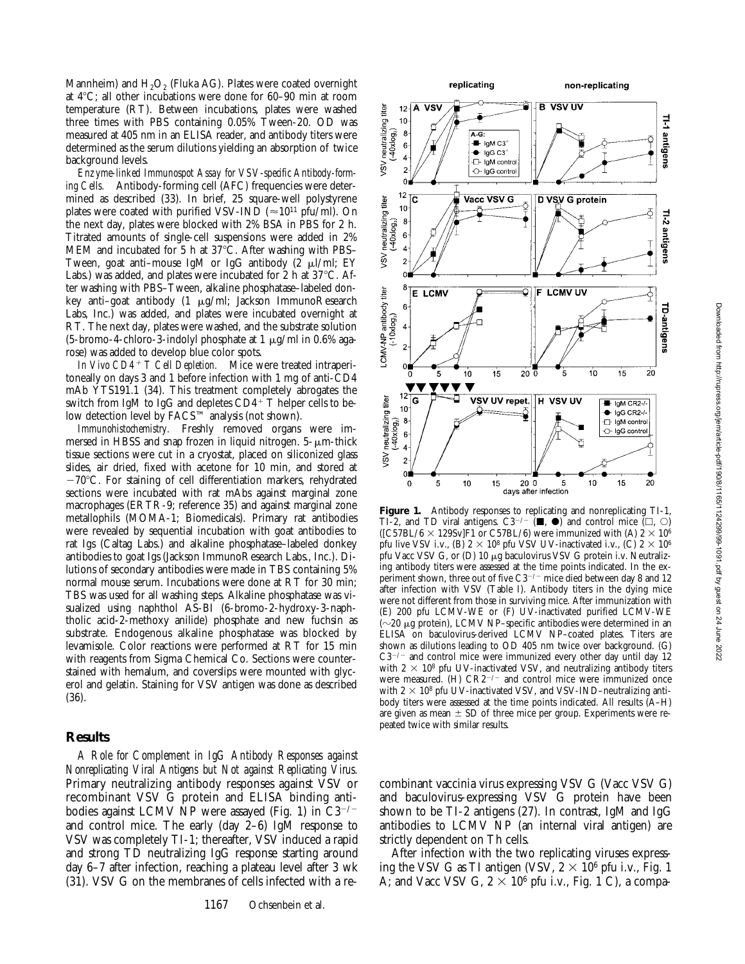Mannheim) and  $H_2O_2$  (Fluka AG). Plates were coated overnight at 48C; all other incubations were done for 60–90 min at room temperature (RT). Between incubations, plates were washed three times with PBS containing 0.05% Tween-20. OD was measured at 405 nm in an ELISA reader, and antibody titers were determined as the serum dilutions yielding an absorption of twice background levels.

*Enzyme-linked Immunospot Assay for VSV-specific Antibody-forming Cells.* Antibody-forming cell (AFC) frequencies were determined as described (33). In brief, 25 square-well polystyrene plates were coated with purified VSV-IND ( $\approx$ 10<sup>11</sup> pfu/ml). On the next day, plates were blocked with 2% BSA in PBS for 2 h. Titrated amounts of single-cell suspensions were added in 2% MEM and incubated for 5 h at 37°C. After washing with PBS– Tween, goat anti-mouse IgM or IgG antibody  $(2 \mu I/m!)$ ; EY Labs.) was added, and plates were incubated for 2 h at  $37^{\circ}$ C. After washing with PBS–Tween, alkaline phosphatase–labeled donkey anti-goat antibody (1 μg/ml; Jackson ImmunoResearch Labs, Inc.) was added, and plates were incubated overnight at RT. The next day, plates were washed, and the substrate solution (5-bromo-4-chloro-3-indolyl phosphate at 1  $\mu$ g/ml in 0.6% agarose) was added to develop blue color spots.

*In Vivo CD4<sup>+</sup> T Cell Depletion.* Mice were treated intraperitoneally on days 3 and 1 before infection with 1 mg of anti-CD4 mAb YTS191.1 (34). This treatment completely abrogates the switch from IgM to IgG and depletes  $CD4^+$  T helper cells to below detection level by FACS™ analysis (not shown).

*Immunohistochemistry.* Freshly removed organs were immersed in HBSS and snap frozen in liquid nitrogen.  $5-\mu m$ -thick tissue sections were cut in a cryostat, placed on siliconized glass slides, air dried, fixed with acetone for 10 min, and stored at  $-70^{\circ}$ C. For staining of cell differentiation markers, rehydrated sections were incubated with rat mAbs against marginal zone macrophages (ERTR-9; reference 35) and against marginal zone metallophils (MOMA-1; Biomedicals). Primary rat antibodies were revealed by sequential incubation with goat antibodies to rat Igs (Caltag Labs.) and alkaline phosphatase–labeled donkey antibodies to goat Igs (Jackson ImmunoResearch Labs., Inc.). Dilutions of secondary antibodies were made in TBS containing 5% normal mouse serum. Incubations were done at RT for 30 min; TBS was used for all washing steps. Alkaline phosphatase was visualized using naphthol AS-BI (6-bromo-2-hydroxy-3-naphtholic acid-2-methoxy anilide) phosphate and new fuchsin as substrate. Endogenous alkaline phosphatase was blocked by levamisole. Color reactions were performed at RT for 15 min with reagents from Sigma Chemical Co. Sections were counterstained with hemalum, and coverslips were mounted with glycerol and gelatin. Staining for VSV antigen was done as described (36).

#### **Results**

*A Role for Complement in IgG Antibody Responses against Nonreplicating Viral Antigens but Not against Replicating Virus.* Primary neutralizing antibody responses against VSV or recombinant VSV G protein and ELISA binding antibodies against LCMV NP were assayed (Fig. 1) in  $C3^{-/-}$ and control mice. The early (day 2–6) IgM response to VSV was completely TI-1; thereafter, VSV induced a rapid and strong TD neutralizing IgG response starting around day 6–7 after infection, reaching a plateau level after 3 wk (31). VSV G on the membranes of cells infected with a re-



**Figure 1.** Antibody responses to replicating and nonreplicating TI-1, TI-2, and TD viral antigens. C3<sup>-/-</sup> ( $\blacksquare$ ,  $\spadesuit$ ) and control mice ( $\square$ ,  $\square$ ) ([C57BL/6  $\times$  129Sv]F1 or C57BL/6) were immunized with (A) 2  $\times$  10<sup>6</sup> pfu live VSV i.v., (B)  $2 \times 10^8$  pfu VSV UV-inactivated i.v., (C)  $2 \times 10^6$ pfu Vacc VSV G, or (D) 10 µg baculovirus VSV G protein i.v. Neutralizing antibody titers were assessed at the time points indicated. In the experiment shown, three out of five  $C3^{-/-}$  mice died between day 8 and 12 after infection with VSV (Table I). Antibody titers in the dying mice were not different from those in surviving mice. After immunization with (E) 200 pfu LCMV-WE or (F) UV-inactivated purified LCMV-WE ( $\sim$ 20  $\mu$ g protein), LCMV NP-specific antibodies were determined in an ELISA on baculovirus-derived LCMV NP–coated plates. Titers are shown as dilutions leading to OD 405 nm twice over background. (G)  $C3^{-/-}$  and control mice were immunized every other day until day 12 with  $2 \times 10^8$  pfu UV-inactivated VSV, and neutralizing antibody titers were measured. (H)  $CR2^{-/-}$  and control mice were immunized once with  $2 \times 10^8$  pfu UV-inactivated VSV, and VSV-IND–neutralizing antibody titers were assessed at the time points indicated. All results (A–H) are given as mean  $\pm$  SD of three mice per group. Experiments were repeated twice with similar results.

combinant vaccinia virus expressing VSV G (Vacc VSV G) and baculovirus-expressing VSV G protein have been shown to be TI-2 antigens (27). In contrast, IgM and IgG antibodies to LCMV NP (an internal viral antigen) are strictly dependent on Th cells.

After infection with the two replicating viruses expressing the VSV G as TI antigen (VSV,  $2 \times 10^6$  pfu i.v., Fig. 1 A; and Vacc VSV G,  $2 \times 10^6$  pfu i.v., Fig. 1 C), a compa-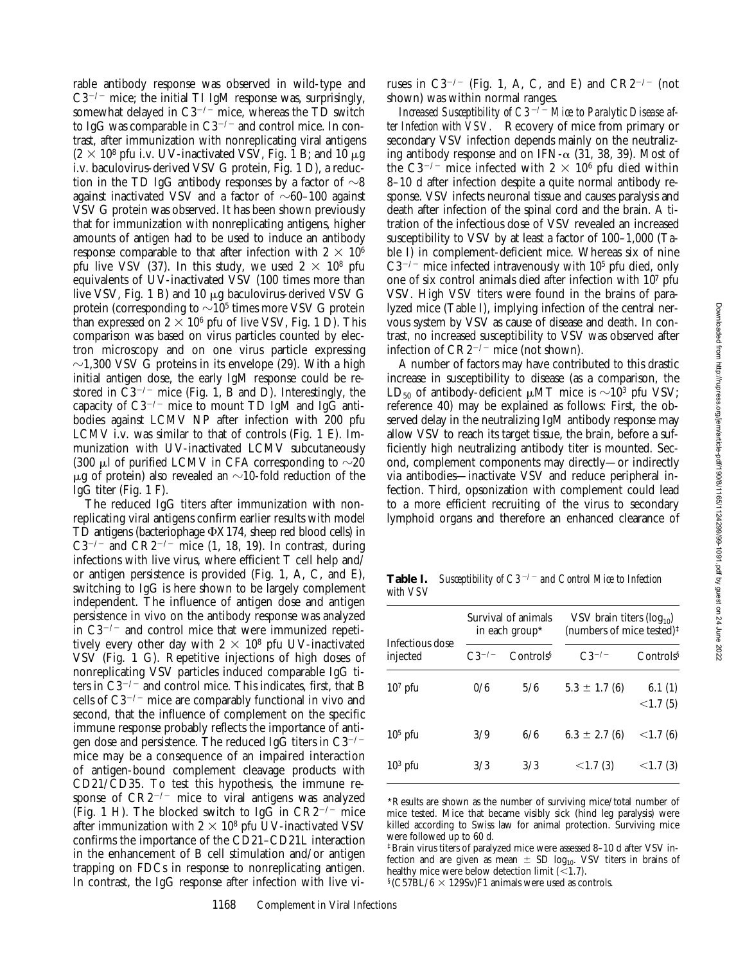Downloaded from http://rupress.org/jem/article-pdf/190/8/1124299/99-1091.pdf by guest on 24 June 2022 Downloaded from http://rupress.org/jem/article-pdf/190/8/1165/1124299/99-1091.pdf by guest on 24 June 2022

rable antibody response was observed in wild-type and  $C3^{-/-}$  mice; the initial TI IgM response was, surprisingly, somewhat delayed in  $C3^{-/-}$  mice, whereas the TD switch to IgG was comparable in  $C3^{-/-}$  and control mice. In contrast, after immunization with nonreplicating viral antigens  $(2 \times 10^8 \text{ pftu i.v. UV-inactivated VSV. Fig. 1 B; and 10 µg)$ i.v. baculovirus-derived VSV G protein, Fig. 1 D), a reduction in the TD IgG antibody responses by a factor of  $\sim$ 8 against inactivated VSV and a factor of  $\sim 60-100$  against VSV G protein was observed. It has been shown previously that for immunization with nonreplicating antigens, higher amounts of antigen had to be used to induce an antibody response comparable to that after infection with  $2 \times 10^6$ pfu live VSV (37). In this study, we used  $2 \times 10^8$  pfu equivalents of UV-inactivated VSV (100 times more than live VSV, Fig. 1 B) and 10 μg baculovirus-derived VSV G protein (corresponding to  $\sim$ 10<sup>5</sup> times more VSV G protein than expressed on  $2 \times 10^6$  pfu of live VSV, Fig. 1 D). This comparison was based on virus particles counted by electron microscopy and on one virus particle expressing  $\sim$ 1,300 VSV G proteins in its envelope (29). With a high initial antigen dose, the early IgM response could be restored in  $C3^{-/-}$  mice (Fig. 1, B and D). Interestingly, the capacity of  $C3^{-/-}$  mice to mount TD IgM and IgG antibodies against LCMV NP after infection with 200 pfu LCMV i.v. was similar to that of controls (Fig. 1 E). Immunization with UV-inactivated LCMV subcutaneously (300  $\mu$ l of purified LCMV in CFA corresponding to  $\sim$ 20  $\mu$ g of protein) also revealed an  $\sim$ 10-fold reduction of the IgG titer (Fig. 1 F).

The reduced IgG titers after immunization with nonreplicating viral antigens confirm earlier results with model TD antigens (bacteriophage  $\Phi$ X174, sheep red blood cells) in  $C3^{-/-}$  and  $C R2^{-/-}$  mice (1, 18, 19). In contrast, during infections with live virus, where efficient T cell help and/ or antigen persistence is provided (Fig. 1, A, C, and E), switching to IgG is here shown to be largely complement independent. The influence of antigen dose and antigen persistence in vivo on the antibody response was analyzed in  $C3^{-/-}$  and control mice that were immunized repetitively every other day with  $2 \times 10^8$  pfu UV-inactivated VSV (Fig. 1 G). Repetitive injections of high doses of nonreplicating VSV particles induced comparable IgG titers in  $C3^{-/-}$  and control mice. This indicates, first, that B cells of  $C3^{-/-}$  mice are comparably functional in vivo and second, that the influence of complement on the specific immune response probably reflects the importance of antigen dose and persistence. The reduced IgG titers in  $C3^{-/-}$ mice may be a consequence of an impaired interaction of antigen-bound complement cleavage products with CD21/CD35. To test this hypothesis, the immune response of  $CR2^{-/-}$  mice to viral antigens was analyzed (Fig. 1 H). The blocked switch to IgG in  $CR2^{-/-}$  mice after immunization with  $2 \times 10^8$  pfu UV-inactivated VSV confirms the importance of the CD21–CD21L interaction in the enhancement of B cell stimulation and/or antigen trapping on FDCs in response to nonreplicating antigen. In contrast, the IgG response after infection with live viruses in  $C3^{-/-}$  (Fig. 1, A, C, and E) and  $CR2^{-/-}$  (not shown) was within normal ranges.

Increased Susceptibility of  $C3^{-/-}$  Mice to Paralytic Disease af*ter Infection with VSV.* Recovery of mice from primary or secondary VSV infection depends mainly on the neutralizing antibody response and on IFN- $\alpha$  (31, 38, 39). Most of the C3<sup>-/-</sup> mice infected with  $2 \times 10^6$  pfu died within 8–10 d after infection despite a quite normal antibody response. VSV infects neuronal tissue and causes paralysis and death after infection of the spinal cord and the brain. A titration of the infectious dose of VSV revealed an increased susceptibility to VSV by at least a factor of 100–1,000 (Table I) in complement-deficient mice. Whereas six of nine  $C3^{-/-}$  mice infected intravenously with 10<sup>5</sup> pfu died, only one of six control animals died after infection with 107 pfu VSV. High VSV titers were found in the brains of paralyzed mice (Table I), implying infection of the central nervous system by VSV as cause of disease and death. In contrast, no increased susceptibility to VSV was observed after infection of  $CR2^{-/-}$  mice (not shown).

A number of factors may have contributed to this drastic increase in susceptibility to disease (as a comparison, the LD<sub>50</sub> of antibody-deficient  $\mu$ MT mice is  $\sim$ 10<sup>3</sup> pfu VSV; reference 40) may be explained as follows: First, the observed delay in the neutralizing IgM antibody response may allow VSV to reach its target tissue, the brain, before a sufficiently high neutralizing antibody titer is mounted. Second, complement components may directly—or indirectly via antibodies—inactivate VSV and reduce peripheral infection. Third, opsonization with complement could lead to a more efficient recruiting of the virus to secondary lymphoid organs and therefore an enhanced clearance of

**Table I.** *Susceptibility of*  $C3^{-/-}$  *and Control Mice to Infection with VSV*

|                             | Survival of animals<br>in each group <sup>*</sup> |                       | VSV brain titers ( $log_{10}$ )<br>(numbers of mice tested) <sup><math>\ddagger</math></sup> |                     |  |
|-----------------------------|---------------------------------------------------|-----------------------|----------------------------------------------------------------------------------------------|---------------------|--|
| Infectious dose<br>injected | $C3^{-/-}$                                        | Controls <sup>§</sup> | $C3^{-/-}$                                                                                   | $\rm Controls^{\S}$ |  |
| $107$ pfu                   | 0/6                                               | 5/6                   | $5.3 \pm 1.7$ (6)                                                                            | 6.1(1)<br><1.7(5)   |  |
| $105$ pfu                   | 3/9                                               | 6/6                   | $6.3 \pm 2.7$ (6)                                                                            | <1.7(6)             |  |
| $103$ pfu                   | 3/3                                               | 3/3                   | <1.7(3)                                                                                      | <1.7(3)             |  |

\*Results are shown as the number of surviving mice/total number of mice tested. Mice that became visibly sick (hind leg paralysis) were killed according to Swiss law for animal protection. Surviving mice were followed up to 60 d.

‡Brain virus titers of paralyzed mice were assessed 8–10 d after VSV infection and are given as mean  $\pm$  SD log<sub>10</sub>. VSV titers in brains of healthy mice were below detection limit  $(<1.7)$ .

 $\S$ (C57BL/6  $\times$  129Sv)F1 animals were used as controls.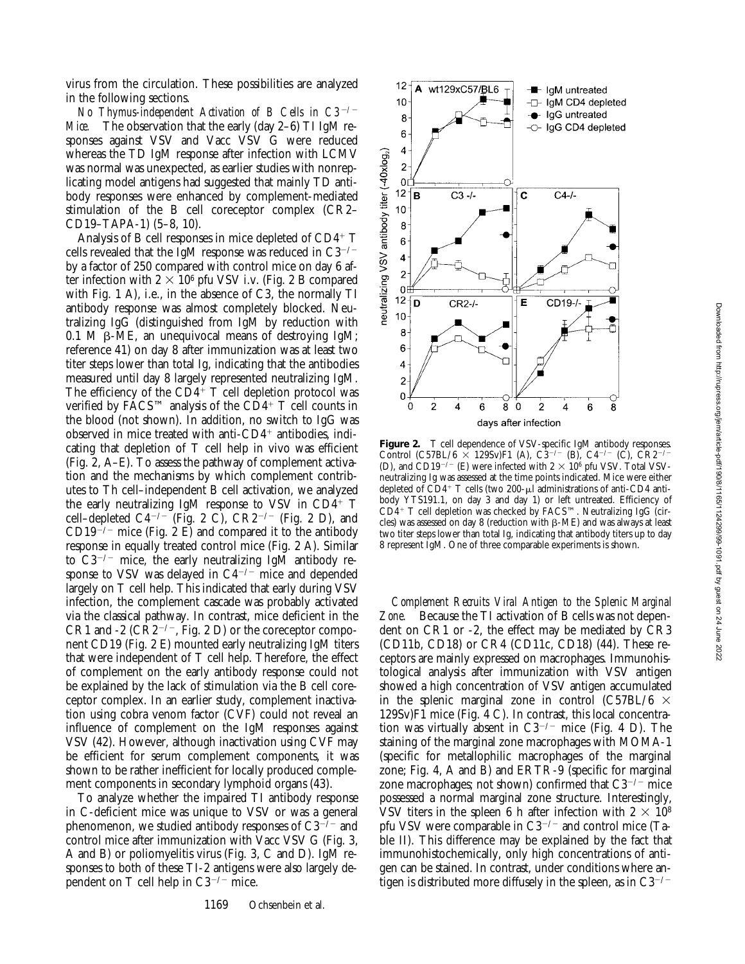virus from the circulation. These possibilities are analyzed in the following sections.

*No Thymus-independent Activation of B Cells in C3<sup>-/-</sup> Mice.* The observation that the early (day 2–6) TI IgM responses against VSV and Vacc VSV G were reduced whereas the TD IgM response after infection with LCMV was normal was unexpected, as earlier studies with nonreplicating model antigens had suggested that mainly TD antibody responses were enhanced by complement-mediated stimulation of the B cell coreceptor complex (CR2– CD19–TAPA-1) (5–8, 10).

Analysis of B cell responses in mice depleted of  $CD4^+$  T cells revealed that the IgM response was reduced in  $C3^{-/-}$ by a factor of 250 compared with control mice on day 6 after infection with  $2 \times 10^6$  pfu VSV i.v. (Fig. 2 B compared with Fig. 1 A), i.e., in the absence of C3, the normally TI antibody response was almost completely blocked. Neutralizing IgG (distinguished from IgM by reduction with 0.1 M  $\beta$ -ME, an unequivocal means of destroying IgM; reference 41) on day 8 after immunization was at least two titer steps lower than total Ig, indicating that the antibodies measured until day 8 largely represented neutralizing IgM. The efficiency of the  $C\breve{D}4^+$  T cell depletion protocol was verified by  $FACS^{TM}$  analysis of the  $CD4^+$  T cell counts in the blood (not shown). In addition, no switch to IgG was observed in mice treated with anti- $CD4^+$  antibodies, indicating that depletion of T cell help in vivo was efficient (Fig. 2, A–E). To assess the pathway of complement activation and the mechanisms by which complement contributes to Th cell–independent B cell activation, we analyzed the early neutralizing IgM response to VSV in  $CD4^+$  T cell–depleted  $C4^{-/-}$  (Fig. 2 C),  $CR2^{-/-}$  (Fig. 2 D), and  $CD19^{-/-}$  mice (Fig. 2 E) and compared it to the antibody response in equally treated control mice (Fig. 2 A). Similar to  $C3^{-/-}$  mice, the early neutralizing IgM antibody response to VSV was delayed in  $C4^{-/-}$  mice and depended largely on T cell help. This indicated that early during VSV infection, the complement cascade was probably activated via the classical pathway. In contrast, mice deficient in the CR1 and -2 ( $CR2^{-/-}$ , Fig. 2 D) or the coreceptor component CD19 (Fig. 2 E) mounted early neutralizing IgM titers that were independent of T cell help. Therefore, the effect of complement on the early antibody response could not be explained by the lack of stimulation via the B cell coreceptor complex. In an earlier study, complement inactivation using cobra venom factor (CVF) could not reveal an influence of complement on the IgM responses against VSV (42). However, although inactivation using CVF may be efficient for serum complement components, it was shown to be rather inefficient for locally produced complement components in secondary lymphoid organs (43).

To analyze whether the impaired TI antibody response in C-deficient mice was unique to VSV or was a general phenomenon, we studied antibody responses of  $C3^{-/-}$  and control mice after immunization with Vacc VSV G (Fig. 3, A and B) or poliomyelitis virus (Fig. 3, C and D). IgM responses to both of these TI-2 antigens were also largely dependent on T cell help in  $C3^{-/-}$  mice.



Figure 2. T cell dependence of VSV-specific IgM antibody responses. Control (C57BL/6  $\times$  129Sv)F1 (A), C3<sup>-/-</sup> (B), C4<sup>-/-</sup> (C), CR2<sup>-/-</sup> (D), and CD19<sup>-/-</sup> (E) were infected with  $2 \times 10^6$  pfu VSV. Total VSVneutralizing Ig was assessed at the time points indicated. Mice were either depleted of  $\overline{CD4}$ <sup>+</sup> T cells (two 200- $\mu$ l administrations of anti-CD4 antibody YTS191.1, on day 3 and day 1) or left untreated. Efficiency of  $CD4+$  T cell depletion was checked by FACS™. Neutralizing IgG (circles) was assessed on day 8 (reduction with  $\beta$ -ME) and was always at least two titer steps lower than total Ig, indicating that antibody titers up to day 8 represent IgM. One of three comparable experiments is shown.

*Complement Recruits Viral Antigen to the Splenic Marginal Zone.* Because the TI activation of B cells was not dependent on CR1 or -2, the effect may be mediated by CR3 (CD11b, CD18) or CR4 (CD11c, CD18) (44). These receptors are mainly expressed on macrophages. Immunohistological analysis after immunization with VSV antigen showed a high concentration of VSV antigen accumulated in the splenic marginal zone in control (C57BL/6  $\times$ 129Sv)F1 mice (Fig. 4 C). In contrast, this local concentration was virtually absent in  $C3^{-/-}$  mice (Fig. 4 D). The staining of the marginal zone macrophages with MOMA-1 (specific for metallophilic macrophages of the marginal zone; Fig. 4, A and B) and ERTR-9 (specific for marginal zone macrophages; not shown) confirmed that  $C3^{-/-}$  mice possessed a normal marginal zone structure. Interestingly, VSV titers in the spleen 6 h after infection with  $2 \times 10^8$ pfu VSV were comparable in  $C3^{-/-}$  and control mice (Table II). This difference may be explained by the fact that immunohistochemically, only high concentrations of antigen can be stained. In contrast, under conditions where antigen is distributed more diffusely in the spleen, as in  $C3^{-/-}$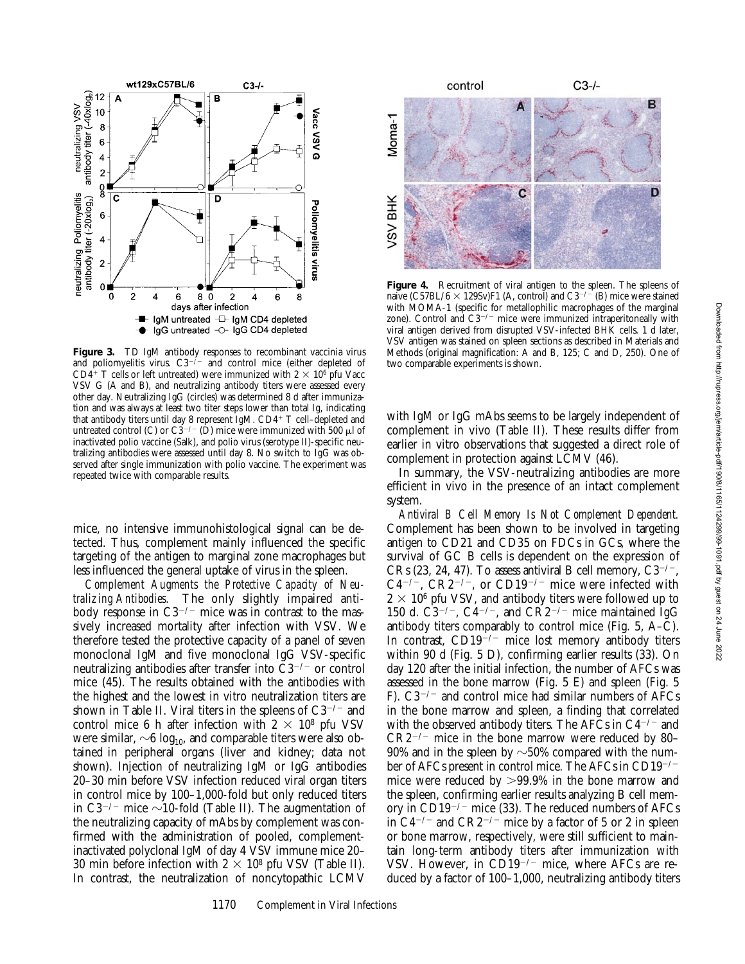

**Figure 3.** TD IgM antibody responses to recombinant vaccinia virus and poliomyelitis virus.  $C3^{-7}$  and control mice (either depleted of  $CD4^+$  T cells or left untreated) were immunized with  $2 \times 10^6$  pfu Vacc VSV G (A and B), and neutralizing antibody titers were assessed every other day. Neutralizing IgG (circles) was determined 8 d after immunization and was always at least two titer steps lower than total Ig, indicating that antibody titers until day 8 represent IgM. CD4+ T cell–depleted and untreated control (C) or  $C3^{-/-}$  (D) mice were immunized with 500  $\mu$ l of inactivated polio vaccine (Salk), and polio virus (serotype II)-specific neutralizing antibodies were assessed until day 8. No switch to IgG was observed after single immunization with polio vaccine. The experiment was repeated twice with comparable results.

mice, no intensive immunohistological signal can be detected. Thus, complement mainly influenced the specific targeting of the antigen to marginal zone macrophages but less influenced the general uptake of virus in the spleen.

*Complement Augments the Protective Capacity of Neutralizing Antibodies.* The only slightly impaired antibody response in  $C3^{-/-}$  mice was in contrast to the massively increased mortality after infection with VSV. We therefore tested the protective capacity of a panel of seven monoclonal IgM and five monoclonal IgG VSV-specific neutralizing antibodies after transfer into  $\overline{C}3^{-/-}$  or control mice (45). The results obtained with the antibodies with the highest and the lowest in vitro neutralization titers are shown in Table II. Viral titers in the spleens of  $C3^{-/-}$  and control mice 6 h after infection with  $2 \times 10^8$  pfu VSV were similar,  $\sim 6$  log<sub>10</sub>, and comparable titers were also obtained in peripheral organs (liver and kidney; data not shown). Injection of neutralizing IgM or IgG antibodies 20–30 min before VSV infection reduced viral organ titers in control mice by 100–1,000-fold but only reduced titers in C3<sup>-/-</sup> mice  $\sim$ 10-fold (Table II). The augmentation of the neutralizing capacity of mAbs by complement was confirmed with the administration of pooled, complementinactivated polyclonal IgM of day 4 VSV immune mice 20– 30 min before infection with  $2 \times 10^8$  pfu VSV (Table II). In contrast, the neutralization of noncytopathic LCMV



Figure 4. Recruitment of viral antigen to the spleen. The spleens of naive (C57BL/6  $\times$  129Sv)F1 (A, control) and C3<sup>-/-</sup> (B) mice were stained with MOMA-1 (specific for metallophilic macrophages of the marginal zone). Control and  $C3^{-/-}$  mice were immunized intraperitoneally with viral antigen derived from disrupted VSV-infected BHK cells. 1 d later, VSV antigen was stained on spleen sections as described in Materials and Methods (original magnification: A and B, 125; C and D, 250). One of two comparable experiments is shown.

with IgM or IgG mAbs seems to be largely independent of complement in vivo (Table II). These results differ from earlier in vitro observations that suggested a direct role of complement in protection against LCMV (46).

In summary, the VSV-neutralizing antibodies are more efficient in vivo in the presence of an intact complement system.

*Antiviral B Cell Memory Is Not Complement Dependent.* Complement has been shown to be involved in targeting antigen to CD21 and CD35 on FDCs in GCs, where the survival of GC B cells is dependent on the expression of CRs (23, 24, 47). To assess antiviral B cell memory,  $C3^{-/-}$ ,  $C4^{-/-}$ ,  $C R2^{-/-}$ , or  $CD19^{-/-}$  mice were infected with  $2 \times 10^6$  pfu VSV, and antibody titers were followed up to 150 d.  $C3^{-/-}$ ,  $C4^{-/-}$ , and  $C R2^{-/-}$  mice maintained IgG antibody titers comparably to control mice (Fig. 5, A–C). In contrast,  $CD19^{-/-}$  mice lost memory antibody titers within 90 d (Fig. 5 D), confirming earlier results (33). On day 120 after the initial infection, the number of AFCs was assessed in the bone marrow (Fig. 5 E) and spleen (Fig. 5 F).  $C3^{-/-}$  and control mice had similar numbers of AFCs in the bone marrow and spleen, a finding that correlated with the observed antibody titers. The AFCs in  $C4^{-/-}$  and  $CR2^{-/-}$  mice in the bone marrow were reduced by 80– 90% and in the spleen by  $\sim$  50% compared with the number of AFCs present in control mice. The AFCs in  $CD19^{-/-}$ mice were reduced by  $>99.9\%$  in the bone marrow and the spleen, confirming earlier results analyzing B cell memory in  $CD19^{-/-}$  mice (33). The reduced numbers of AFCs in  $C4^{-/-}$  and  $C R2^{-/-}$  mice by a factor of 5 or 2 in spleen or bone marrow, respectively, were still sufficient to maintain long-term antibody titers after immunization with VSV. However, in  $CD19^{-/-}$  mice, where AFCs are reduced by a factor of 100–1,000, neutralizing antibody titers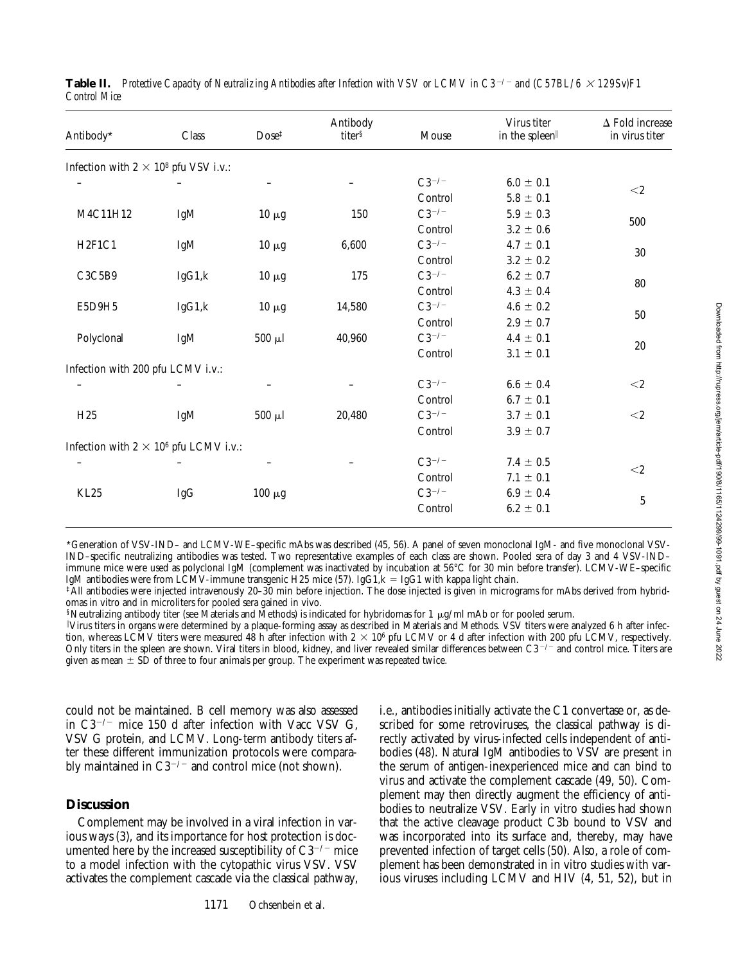| Antibody*                                     | Class  | $Dose^{\ddagger}$ | Antibody<br>titer <sup>§</sup> | Mouse      | Virus titer<br>in the spleen | $\Delta$ Fold increase<br>in virus titer |
|-----------------------------------------------|--------|-------------------|--------------------------------|------------|------------------------------|------------------------------------------|
| Infection with $2 \times 10^8$ pfu VSV i.v.:  |        |                   |                                |            |                              |                                          |
|                                               |        |                   |                                | $C3^{-/-}$ | $6.0 \pm 0.1$                |                                          |
|                                               |        |                   |                                | Control    | $5.8 \pm 0.1$                | $<$ 2                                    |
| M4C11H12                                      | IgM    | $10 \mu g$        | 150                            | $C3^{-/-}$ | $5.9 \pm 0.3$                | 500                                      |
|                                               |        |                   |                                | Control    | $3.2 \pm 0.6$                |                                          |
| H2F1C1                                        | IgM    | $10 \mu g$        | 6,600                          | $C3^{-/-}$ | $4.7 \pm 0.1$                |                                          |
|                                               |        |                   |                                | Control    | $3.2 \pm 0.2$                | 30                                       |
| C3C5B9                                        | IgG1,k | $10 \mu g$        | 175                            | $C3^{-/-}$ | $6.2 \pm 0.7$                | $80\,$                                   |
|                                               |        |                   |                                | Control    | $4.3 \pm 0.4$                |                                          |
| E5D9H5                                        | IgG1,k | $10 \mu g$        | 14,580                         | $C3^{-/-}$ | $4.6 \pm 0.2$                | 50                                       |
|                                               |        |                   |                                | Control    | $2.9 \pm 0.7$                |                                          |
| Polyclonal                                    | IgM    | $500 \mu l$       | 40,960                         | $C3^{-/-}$ | $4.4 \pm 0.1$                | 20                                       |
|                                               |        |                   |                                | Control    | $3.1 \pm 0.1$                |                                          |
| Infection with 200 pfu LCMV i.v.:             |        |                   |                                |            |                              |                                          |
|                                               |        |                   |                                | $C3^{-/-}$ | $6.6 \pm 0.4$                | ${<}2$                                   |
|                                               |        |                   |                                | Control    | $6.7 \pm 0.1$                |                                          |
| H <sub>25</sub>                               | IgM    | $500 \mu l$       | 20,480                         | $C3^{-/-}$ | $3.7 \pm 0.1$                | $<$ 2                                    |
|                                               |        |                   |                                | Control    | $3.9 \pm 0.7$                |                                          |
| Infection with $2 \times 10^6$ pfu LCMV i.v.: |        |                   |                                |            |                              |                                          |
|                                               |        |                   |                                | $C3^{-/-}$ | $7.4 \pm 0.5$                | $<$ 2                                    |
|                                               |        |                   |                                | Control    | $7.1 \pm 0.1$                |                                          |
| KL25                                          | IgG    | $100 \mu g$       |                                | $C3^{-/-}$ | $6.9 \pm 0.4$                | $\mathbf 5$                              |
|                                               |        |                   |                                | Control    | $6.2 \pm 0.1$                |                                          |

|              | <b>Table II.</b> Protective Capacity of Neutralizing Antibodies after Infection with VSV or LCMV in $C3^{-/-}$ and (C57BL/6 $\times$ 129Sv)F1 |  |
|--------------|-----------------------------------------------------------------------------------------------------------------------------------------------|--|
| Control Mice |                                                                                                                                               |  |

\*Generation of VSV-IND– and LCMV-WE–specific mAbs was described (45, 56). A panel of seven monoclonal IgM- and five monoclonal VSV-IND–specific neutralizing antibodies was tested. Two representative examples of each class are shown. Pooled sera of day 3 and 4 VSV-IND– immune mice were used as polyclonal IgM (complement was inactivated by incubation at 56°C for 30 min before transfer). LCMV-WE–specific IgM antibodies were from LCMV-immune transgenic H25 mice (57). IgG1, $k = IgG1$  with kappa light chain.

‡All antibodies were injected intravenously 20–30 min before injection. The dose injected is given in micrograms for mAbs derived from hybridomas in vitro and in microliters for pooled sera gained in vivo.

 $\delta$ Neutralizing antibody titer (see Materials and Methods) is indicated for hybridomas for 1 µg/ml mAb or for pooled serum.

i Virus titers in organs were determined by a plaque-forming assay as described in Materials and Methods. VSV titers were analyzed 6 h after infection, whereas LCMV titers were measured 48 h after infection with  $2 \times 10^6$  pfu LCMV or 4 d after infection with 200 pfu LCMV, respectively. Only titers in the spleen are shown. Viral titers in blood, kidney, and liver revealed similar differences between  $C3^{-/-}$  and control mice. Titers are given as mean  $\pm$  SD of three to four animals per group. The experiment was repeated twice.

could not be maintained. B cell memory was also assessed in  $C3^{-/-}$  mice 150 d after infection with Vacc VSV G, VSV G protein, and LCMV. Long-term antibody titers after these different immunization protocols were comparably maintained in  $C3^{-/-}$  and control mice (not shown).

## **Discussion**

Complement may be involved in a viral infection in various ways (3), and its importance for host protection is documented here by the increased susceptibility of  $C3^{-/-}$  mice to a model infection with the cytopathic virus VSV. VSV activates the complement cascade via the classical pathway, i.e., antibodies initially activate the C1 convertase or, as described for some retroviruses, the classical pathway is directly activated by virus-infected cells independent of antibodies (48). Natural IgM antibodies to VSV are present in the serum of antigen-inexperienced mice and can bind to virus and activate the complement cascade (49, 50). Complement may then directly augment the efficiency of antibodies to neutralize VSV. Early in vitro studies had shown that the active cleavage product C3b bound to VSV and was incorporated into its surface and, thereby, may have prevented infection of target cells (50). Also, a role of complement has been demonstrated in in vitro studies with various viruses including LCMV and HIV (4, 51, 52), but in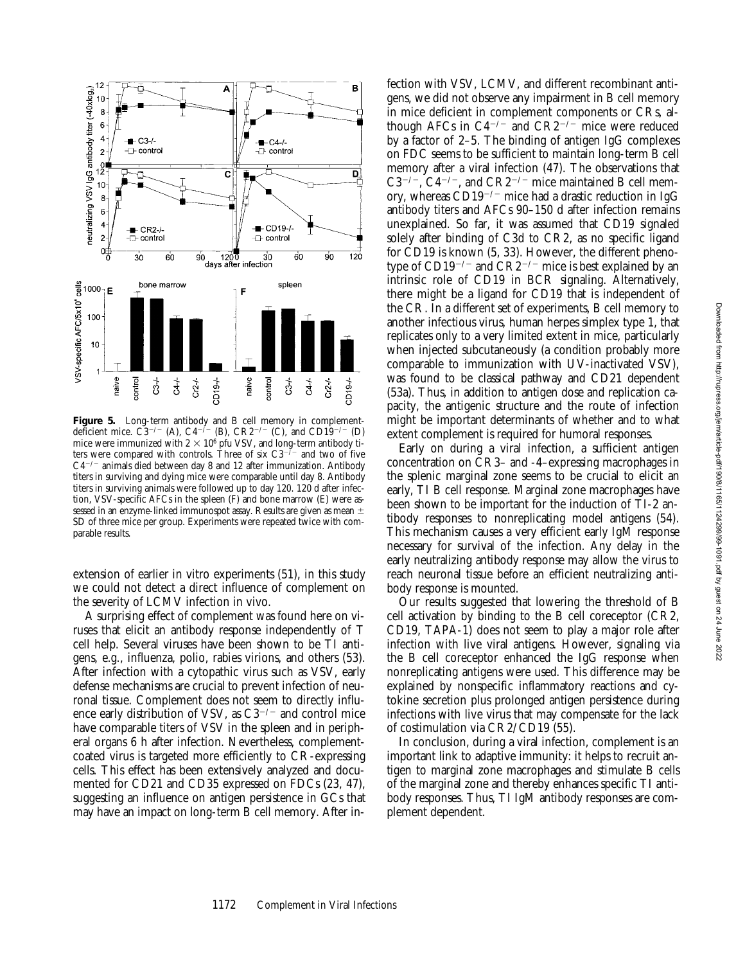

**Figure 5.** Long-term antibody and B cell memory in complementdeficient mice.  $\check{C3}^{-/-}$  (A),  $C4^{-/-}$  (B),  $C R2^{-/-}$  (C), and  $CD19^{-/-}$  (D) mice were immunized with  $2 \times 10^6$  pfu VSV, and long-term antibody titers were compared with controls. Three of six  $C3^{-7}$  and two of five  $C4^{-/-}$  animals died between day 8 and 12 after immunization. Antibody titers in surviving and dying mice were comparable until day 8. Antibody titers in surviving animals were followed up to day 120. 120 d after infection, VSV-specific AFCs in the spleen (F) and bone marrow (E) were assessed in an enzyme-linked immunospot assay. Results are given as mean  $\pm$ SD of three mice per group. Experiments were repeated twice with comparable results.

extension of earlier in vitro experiments (51), in this study we could not detect a direct influence of complement on the severity of LCMV infection in vivo.

A surprising effect of complement was found here on viruses that elicit an antibody response independently of T cell help. Several viruses have been shown to be TI antigens, e.g., influenza, polio, rabies virions, and others (53). After infection with a cytopathic virus such as VSV, early defense mechanisms are crucial to prevent infection of neuronal tissue. Complement does not seem to directly influence early distribution of VSV, as  $C3^{-/-}$  and control mice have comparable titers of VSV in the spleen and in peripheral organs 6 h after infection. Nevertheless, complementcoated virus is targeted more efficiently to CR-expressing cells. This effect has been extensively analyzed and documented for CD21 and CD35 expressed on FDCs (23, 47), suggesting an influence on antigen persistence in GCs that may have an impact on long-term B cell memory. After infection with VSV, LCMV, and different recombinant antigens, we did not observe any impairment in B cell memory in mice deficient in complement components or CRs, although AFCs in  $C4^{-/-}$  and  $CR2^{-/-}$  mice were reduced by a factor of 2–5. The binding of antigen IgG complexes on FDC seems to be sufficient to maintain long-term B cell memory after a viral infection (47). The observations that  $C3^{-/-}$ ,  $C4^{-/-}$ , and  $C R2^{-/-}$  mice maintained B cell memory, whereas  $CD19^{-/-}$  mice had a drastic reduction in IgG antibody titers and AFCs 90–150 d after infection remains unexplained. So far, it was assumed that CD19 signaled solely after binding of C3d to CR2, as no specific ligand for CD19 is known (5, 33). However, the different phenotype of  $CD19^{-/-}$  and  $CR2^{-/-}$  mice is best explained by an intrinsic role of CD19 in BCR signaling. Alternatively, there might be a ligand for CD19 that is independent of the CR. In a different set of experiments, B cell memory to another infectious virus, human herpes simplex type 1, that replicates only to a very limited extent in mice, particularly when injected subcutaneously (a condition probably more comparable to immunization with UV-inactivated VSV), was found to be classical pathway and CD21 dependent (53a). Thus, in addition to antigen dose and replication capacity, the antigenic structure and the route of infection might be important determinants of whether and to what extent complement is required for humoral responses.

Early on during a viral infection, a sufficient antigen concentration on CR3– and -4–expressing macrophages in the splenic marginal zone seems to be crucial to elicit an early, TI B cell response. Marginal zone macrophages have been shown to be important for the induction of TI-2 antibody responses to nonreplicating model antigens (54). This mechanism causes a very efficient early IgM response necessary for survival of the infection. Any delay in the early neutralizing antibody response may allow the virus to reach neuronal tissue before an efficient neutralizing antibody response is mounted.

Our results suggested that lowering the threshold of B cell activation by binding to the B cell coreceptor (CR2, CD19, TAPA-1) does not seem to play a major role after infection with live viral antigens. However, signaling via the B cell coreceptor enhanced the IgG response when nonreplicating antigens were used. This difference may be explained by nonspecific inflammatory reactions and cytokine secretion plus prolonged antigen persistence during infections with live virus that may compensate for the lack of costimulation via CR2/CD19 (55).

In conclusion, during a viral infection, complement is an important link to adaptive immunity: it helps to recruit antigen to marginal zone macrophages and stimulate B cells of the marginal zone and thereby enhances specific TI antibody responses. Thus, TI IgM antibody responses are complement dependent.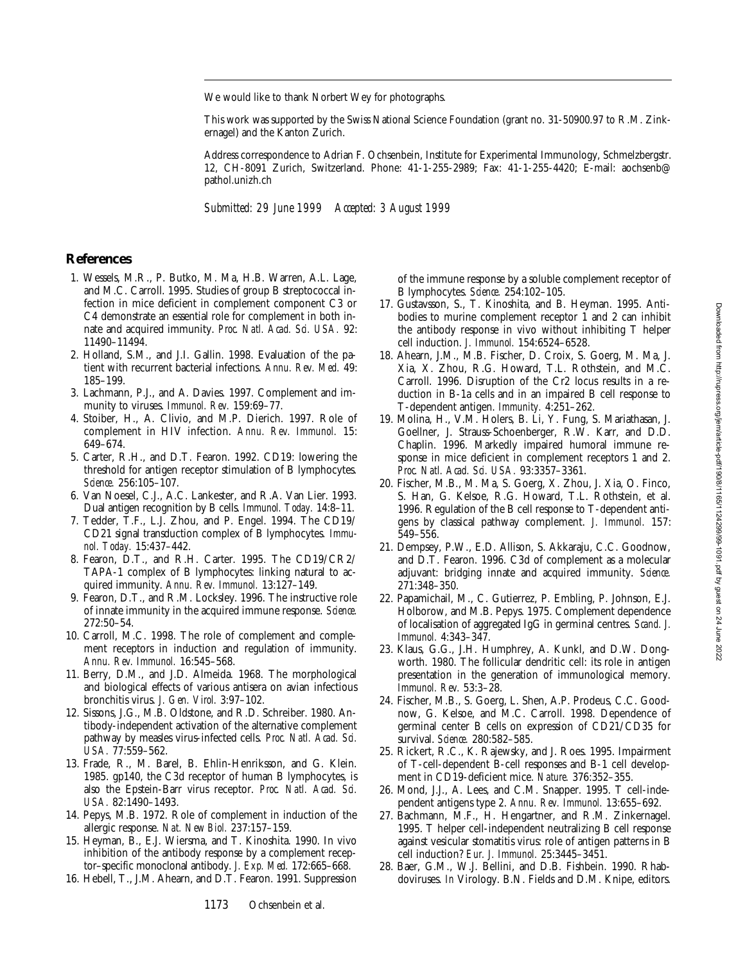We would like to thank Norbert Wey for photographs.

This work was supported by the Swiss National Science Foundation (grant no. 31-50900.97 to R.M. Zinkernagel) and the Kanton Zurich.

Address correspondence to Adrian F. Ochsenbein, Institute for Experimental Immunology, Schmelzbergstr. 12, CH-8091 Zurich, Switzerland. Phone: 41-1-255-2989; Fax: 41-1-255-4420; E-mail: aochsenb@ pathol.unizh.ch

*Submitted: 29 June 1999 Accepted: 3 August 1999*

# **References**

- 1. Wessels, M.R., P. Butko, M. Ma, H.B. Warren, A.L. Lage, and M.C. Carroll. 1995. Studies of group B streptococcal infection in mice deficient in complement component C3 or C4 demonstrate an essential role for complement in both innate and acquired immunity. *Proc. Natl. Acad. Sci. USA.* 92: 11490–11494.
- 2. Holland, S.M., and J.I. Gallin. 1998. Evaluation of the patient with recurrent bacterial infections. *Annu. Rev. Med.* 49: 185–199.
- 3. Lachmann, P.J., and A. Davies. 1997. Complement and immunity to viruses. *Immunol. Rev.* 159:69–77.
- 4. Stoiber, H., A. Clivio, and M.P. Dierich. 1997. Role of complement in HIV infection. *Annu. Rev. Immunol.* 15: 649–674.
- 5. Carter, R.H., and D.T. Fearon. 1992. CD19: lowering the threshold for antigen receptor stimulation of B lymphocytes. *Science.* 256:105–107.
- 6. Van Noesel, C.J., A.C. Lankester, and R.A. Van Lier. 1993. Dual antigen recognition by B cells. *Immunol. Today.* 14:8–11.
- 7. Tedder, T.F., L.J. Zhou, and P. Engel. 1994. The CD19/ CD21 signal transduction complex of B lymphocytes. *Immunol. Today.* 15:437–442.
- 8. Fearon, D.T., and R.H. Carter. 1995. The CD19/CR2/ TAPA-1 complex of B lymphocytes: linking natural to acquired immunity. *Annu. Rev. Immunol.* 13:127–149.
- 9. Fearon, D.T., and R.M. Locksley. 1996. The instructive role of innate immunity in the acquired immune response. *Science.* 272:50–54.
- 10. Carroll, M.C. 1998. The role of complement and complement receptors in induction and regulation of immunity. *Annu. Rev. Immunol.* 16:545–568.
- 11. Berry, D.M., and J.D. Almeida. 1968. The morphological and biological effects of various antisera on avian infectious bronchitis virus. *J. Gen. Virol.* 3:97–102.
- 12. Sissons, J.G., M.B. Oldstone, and R.D. Schreiber. 1980. Antibody-independent activation of the alternative complement pathway by measles virus-infected cells. *Proc. Natl. Acad. Sci. USA.* 77:559–562.
- 13. Frade, R., M. Barel, B. Ehlin-Henriksson, and G. Klein. 1985. gp140, the C3d receptor of human B lymphocytes, is also the Epstein-Barr virus receptor. *Proc. Natl. Acad. Sci. USA.* 82:1490–1493.
- 14. Pepys, M.B. 1972. Role of complement in induction of the allergic response. *Nat. New Biol.* 237:157–159.
- 15. Heyman, B., E.J. Wiersma, and T. Kinoshita. 1990. In vivo inhibition of the antibody response by a complement receptor–specific monoclonal antibody. *J. Exp. Med.* 172:665–668.

16. Hebell, T., J.M. Ahearn, and D.T. Fearon. 1991. Suppression

of the immune response by a soluble complement receptor of B lymphocytes. *Science.* 254:102–105.

- 17. Gustavsson, S., T. Kinoshita, and B. Heyman. 1995. Antibodies to murine complement receptor 1 and 2 can inhibit the antibody response in vivo without inhibiting T helper cell induction. *J. Immunol.* 154:6524–6528.
- 18. Ahearn, J.M., M.B. Fischer, D. Croix, S. Goerg, M. Ma, J. Xia, X. Zhou, R.G. Howard, T.L. Rothstein, and M.C. Carroll. 1996. Disruption of the Cr2 locus results in a reduction in B-1a cells and in an impaired B cell response to T-dependent antigen. *Immunity.* 4:251–262.
- 19. Molina, H., V.M. Holers, B. Li, Y. Fung, S. Mariathasan, J. Goellner, J. Strauss-Schoenberger, R.W. Karr, and D.D. Chaplin. 1996. Markedly impaired humoral immune response in mice deficient in complement receptors 1 and 2. *Proc. Natl. Acad. Sci. USA.* 93:3357–3361.
- 20. Fischer, M.B., M. Ma, S. Goerg, X. Zhou, J. Xia, O. Finco, S. Han, G. Kelsoe, R.G. Howard, T.L. Rothstein, et al. 1996. Regulation of the B cell response to T-dependent antigens by classical pathway complement. *J. Immunol.* 157: 549–556.
- 21. Dempsey, P.W., E.D. Allison, S. Akkaraju, C.C. Goodnow, and D.T. Fearon. 1996. C3d of complement as a molecular adjuvant: bridging innate and acquired immunity. *Science.* 271:348–350.
- 22. Papamichail, M., C. Gutierrez, P. Embling, P. Johnson, E.J. Holborow, and M.B. Pepys. 1975. Complement dependence of localisation of aggregated IgG in germinal centres. *Scand. J. Immunol.* 4:343–347.
- 23. Klaus, G.G., J.H. Humphrey, A. Kunkl, and D.W. Dongworth. 1980. The follicular dendritic cell: its role in antigen presentation in the generation of immunological memory. *Immunol. Rev.* 53:3–28.
- 24. Fischer, M.B., S. Goerg, L. Shen, A.P. Prodeus, C.C. Goodnow, G. Kelsoe, and M.C. Carroll. 1998. Dependence of germinal center B cells on expression of CD21/CD35 for survival. *Science.* 280:582–585.
- 25. Rickert, R.C., K. Rajewsky, and J. Roes. 1995. Impairment of T-cell-dependent B-cell responses and B-1 cell development in CD19-deficient mice. *Nature.* 376:352–355.
- 26. Mond, J.J., A. Lees, and C.M. Snapper. 1995. T cell-independent antigens type 2. *Annu. Rev. Immunol.* 13:655–692.
- 27. Bachmann, M.F., H. Hengartner, and R.M. Zinkernagel. 1995. T helper cell-independent neutralizing B cell response against vesicular stomatitis virus: role of antigen patterns in B cell induction? *Eur. J. Immunol.* 25:3445–3451.
- 28. Baer, G.M., W.J. Bellini, and D.B. Fishbein. 1990. Rhabdoviruses. *In* Virology. B.N. Fields and D.M. Knipe, editors.